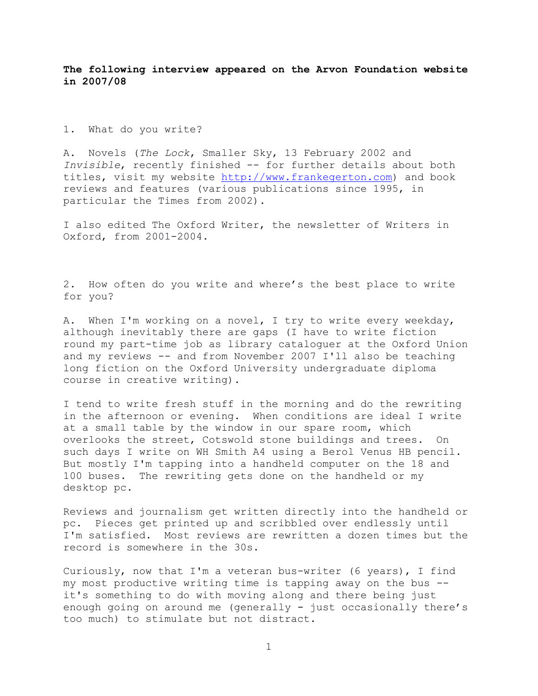**The following interview appeared on the Arvon Foundation website in 2007/08**

1. What do you write?

A. Novels (*The Lock*, Smaller Sky, 13 February 2002 and *Invisible*, recently finished -- for further details about both titles, visit my website [http://www.frankegerton.com\)](http://www.frankegerton.com/) and book reviews and features (various publications since 1995, in particular the Times from 2002).

I also edited The Oxford Writer, the newsletter of Writers in Oxford, from 2001-2004.

2. How often do you write and where's the best place to write for you?

A. When I'm working on a novel, I try to write every weekday, although inevitably there are gaps (I have to write fiction round my part-time job as library cataloguer at the Oxford Union and my reviews -- and from November 2007 I'll also be teaching long fiction on the Oxford University undergraduate diploma course in creative writing).

I tend to write fresh stuff in the morning and do the rewriting in the afternoon or evening. When conditions are ideal I write at a small table by the window in our spare room, which overlooks the street, Cotswold stone buildings and trees. On such days I write on WH Smith A4 using a Berol Venus HB pencil. But mostly I'm tapping into a handheld computer on the 18 and 100 buses. The rewriting gets done on the handheld or my desktop pc.

Reviews and journalism get written directly into the handheld or pc. Pieces get printed up and scribbled over endlessly until I'm satisfied. Most reviews are rewritten a dozen times but the record is somewhere in the 30s.

Curiously, now that I'm a veteran bus-writer (6 years), I find my most productive writing time is tapping away on the bus - it's something to do with moving along and there being just enough going on around me (generally - just occasionally there's too much) to stimulate but not distract.

1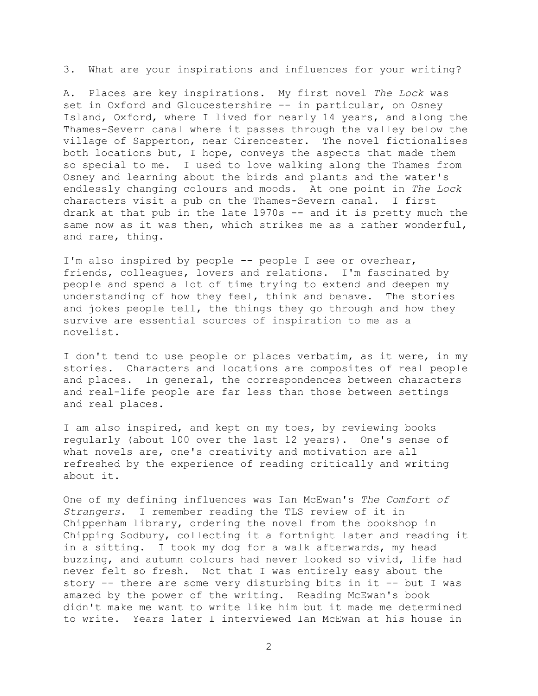3. What are your inspirations and influences for your writing?

A. Places are key inspirations. My first novel *The Lock* was set in Oxford and Gloucestershire -- in particular, on Osney Island, Oxford, where I lived for nearly 14 years, and along the Thames-Severn canal where it passes through the valley below the village of Sapperton, near Cirencester. The novel fictionalises both locations but, I hope, conveys the aspects that made them so special to me. I used to love walking along the Thames from Osney and learning about the birds and plants and the water's endlessly changing colours and moods. At one point in *The Lock* characters visit a pub on the Thames-Severn canal. I first drank at that pub in the late 1970s -- and it is pretty much the same now as it was then, which strikes me as a rather wonderful, and rare, thing.

I'm also inspired by people -- people I see or overhear, friends, colleagues, lovers and relations. I'm fascinated by people and spend a lot of time trying to extend and deepen my understanding of how they feel, think and behave. The stories and jokes people tell, the things they go through and how they survive are essential sources of inspiration to me as a novelist.

I don't tend to use people or places verbatim, as it were, in my stories. Characters and locations are composites of real people and places. In general, the correspondences between characters and real-life people are far less than those between settings and real places.

I am also inspired, and kept on my toes, by reviewing books regularly (about 100 over the last 12 years). One's sense of what novels are, one's creativity and motivation are all refreshed by the experience of reading critically and writing about it.

One of my defining influences was Ian McEwan's *The Comfort of Strangers*. I remember reading the TLS review of it in Chippenham library, ordering the novel from the bookshop in Chipping Sodbury, collecting it a fortnight later and reading it in a sitting. I took my dog for a walk afterwards, my head buzzing, and autumn colours had never looked so vivid, life had never felt so fresh. Not that I was entirely easy about the story -- there are some very disturbing bits in it -- but I was amazed by the power of the writing. Reading McEwan's book didn't make me want to write like him but it made me determined to write. Years later I interviewed Ian McEwan at his house in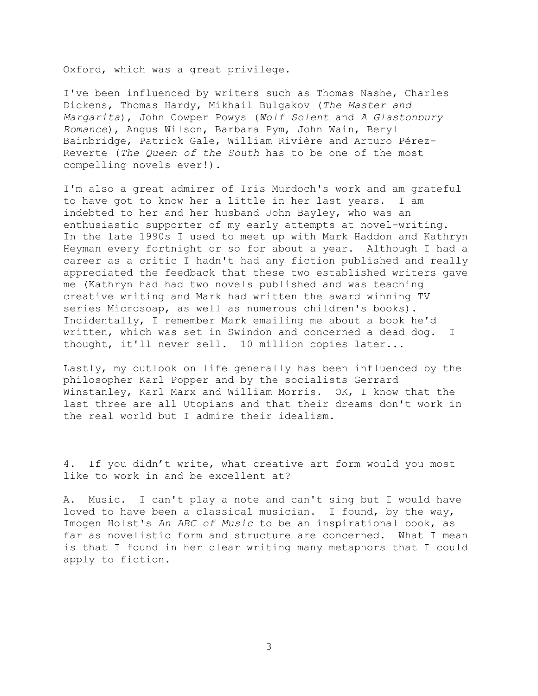Oxford, which was a great privilege.

I've been influenced by writers such as Thomas Nashe, Charles Dickens, Thomas Hardy, Mikhail Bulgakov (*The Master and Margarita*), John Cowper Powys (*Wolf Solent* and *A Glastonbury Romance*), Angus Wilson, Barbara Pym, John Wain, Beryl Bainbridge, Patrick Gale, William Rivière and Arturo Pérez-Reverte (*The Queen of the South* has to be one of the most compelling novels ever!).

I'm also a great admirer of Iris Murdoch's work and am grateful to have got to know her a little in her last years. I am indebted to her and her husband John Bayley, who was an enthusiastic supporter of my early attempts at novel-writing. In the late 1990s I used to meet up with Mark Haddon and Kathryn Heyman every fortnight or so for about a year. Although I had a career as a critic I hadn't had any fiction published and really appreciated the feedback that these two established writers gave me (Kathryn had had two novels published and was teaching creative writing and Mark had written the award winning TV series Microsoap, as well as numerous children's books). Incidentally, I remember Mark emailing me about a book he'd written, which was set in Swindon and concerned a dead dog. I thought, it'll never sell. 10 million copies later...

Lastly, my outlook on life generally has been influenced by the philosopher Karl Popper and by the socialists Gerrard Winstanley, Karl Marx and William Morris. OK, I know that the last three are all Utopians and that their dreams don't work in the real world but I admire their idealism.

4. If you didn't write, what creative art form would you most like to work in and be excellent at?

A. Music. I can't play a note and can't sing but I would have loved to have been a classical musician. I found, by the way, Imogen Holst's *An ABC of Music* to be an inspirational book, as far as novelistic form and structure are concerned. What I mean is that I found in her clear writing many metaphors that I could apply to fiction.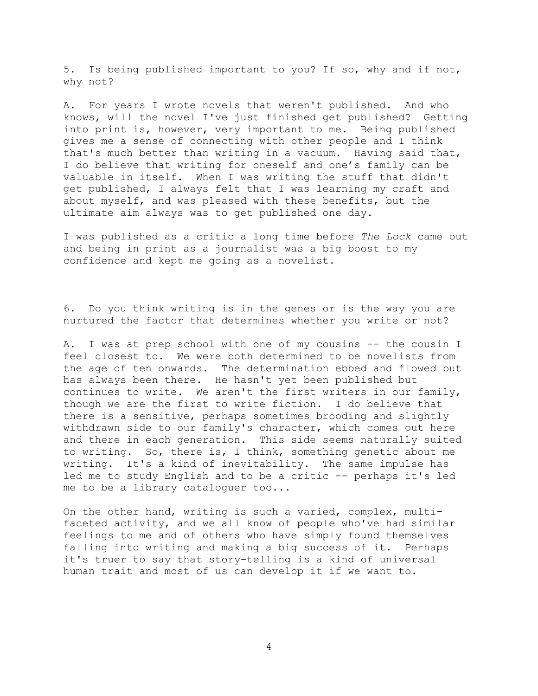5. Is being published important to you? If so, why and if not, why not?

A. For years I wrote novels that weren't published. And who knows, will the novel I've just finished get published? Getting into print is, however, very important to me. Being published gives me a sense of connecting with other people and I think that's much better than writing in a vacuum. Having said that, I do believe that writing for oneself and one's family can be valuable in itself. When I was writing the stuff that didn't get published, I always felt that I was learning my craft and about myself, and was pleased with these benefits, but the ultimate aim always was to get published one day.

I was published as a critic a long time before *The Lock* came out and being in print as a journalist was a big boost to my confidence and kept me going as a novelist.

6. Do you think writing is in the genes or is the way you are nurtured the factor that determines whether you write or not?

A. I was at prep school with one of my cousins -- the cousin I feel closest to. We were both determined to be novelists from the age of ten onwards. The determination ebbed and flowed but has always been there. He hasn't yet been published but continues to write. We aren't the first writers in our family, though we are the first to write fiction. I do believe that there is a sensitive, perhaps sometimes brooding and slightly withdrawn side to our family's character, which comes out here and there in each generation. This side seems naturally suited to writing. So, there is, I think, something genetic about me writing. It's a kind of inevitability. The same impulse has led me to study English and to be a critic -- perhaps it's led me to be a library cataloguer too...

On the other hand, writing is such a varied, complex, multifaceted activity, and we all know of people who've had similar feelings to me and of others who have simply found themselves falling into writing and making a big success of it. Perhaps it's truer to say that story-telling is a kind of universal human trait and most of us can develop it if we want to.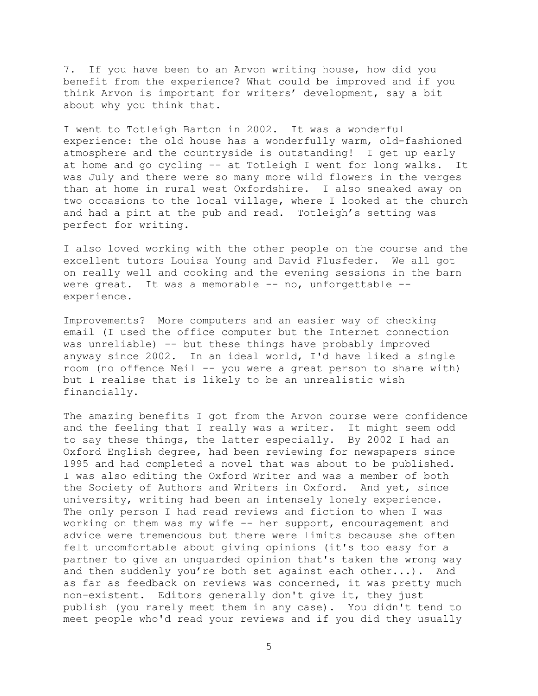7. If you have been to an Arvon writing house, how did you benefit from the experience? What could be improved and if you think Arvon is important for writers' development, say a bit about why you think that.

I went to Totleigh Barton in 2002. It was a wonderful experience: the old house has a wonderfully warm, old-fashioned atmosphere and the countryside is outstanding! I get up early at home and go cycling -- at Totleigh I went for long walks. It was July and there were so many more wild flowers in the verges than at home in rural west Oxfordshire. I also sneaked away on two occasions to the local village, where I looked at the church and had a pint at the pub and read. Totleigh's setting was perfect for writing.

I also loved working with the other people on the course and the excellent tutors Louisa Young and David Flusfeder. We all got on really well and cooking and the evening sessions in the barn were great. It was a memorable -- no, unforgettable - experience.

Improvements? More computers and an easier way of checking email (I used the office computer but the Internet connection was unreliable) -- but these things have probably improved anyway since 2002. In an ideal world, I'd have liked a single room (no offence Neil -- you were a great person to share with) but I realise that is likely to be an unrealistic wish financially.

The amazing benefits I got from the Arvon course were confidence and the feeling that I really was a writer. It might seem odd to say these things, the latter especially. By 2002 I had an Oxford English degree, had been reviewing for newspapers since 1995 and had completed a novel that was about to be published. I was also editing the Oxford Writer and was a member of both the Society of Authors and Writers in Oxford. And yet, since university, writing had been an intensely lonely experience. The only person I had read reviews and fiction to when I was working on them was my wife -- her support, encouragement and advice were tremendous but there were limits because she often felt uncomfortable about giving opinions (it's too easy for a partner to give an unguarded opinion that's taken the wrong way and then suddenly you're both set against each other...). And as far as feedback on reviews was concerned, it was pretty much non-existent. Editors generally don't give it, they just publish (you rarely meet them in any case). You didn't tend to meet people who'd read your reviews and if you did they usually

5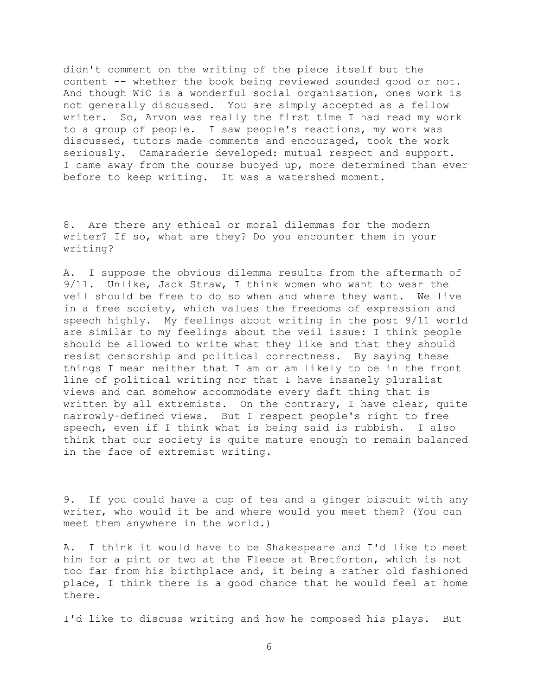didn't comment on the writing of the piece itself but the content -- whether the book being reviewed sounded good or not. And though WiO is a wonderful social organisation, ones work is not generally discussed. You are simply accepted as a fellow writer. So, Arvon was really the first time I had read my work to a group of people. I saw people's reactions, my work was discussed, tutors made comments and encouraged, took the work seriously. Camaraderie developed: mutual respect and support. I came away from the course buoyed up, more determined than ever before to keep writing. It was a watershed moment.

8. Are there any ethical or moral dilemmas for the modern writer? If so, what are they? Do you encounter them in your writing?

A. I suppose the obvious dilemma results from the aftermath of 9/11. Unlike, Jack Straw, I think women who want to wear the veil should be free to do so when and where they want. We live in a free society, which values the freedoms of expression and speech highly. My feelings about writing in the post 9/11 world are similar to my feelings about the veil issue: I think people should be allowed to write what they like and that they should resist censorship and political correctness. By saying these things I mean neither that I am or am likely to be in the front line of political writing nor that I have insanely pluralist views and can somehow accommodate every daft thing that is written by all extremists. On the contrary, I have clear, quite narrowly-defined views. But I respect people's right to free speech, even if I think what is being said is rubbish. I also think that our society is quite mature enough to remain balanced in the face of extremist writing.

9. If you could have a cup of tea and a ginger biscuit with any writer, who would it be and where would you meet them? (You can meet them anywhere in the world.)

A. I think it would have to be Shakespeare and I'd like to meet him for a pint or two at the Fleece at Bretforton, which is not too far from his birthplace and, it being a rather old fashioned place, I think there is a good chance that he would feel at home there.

I'd like to discuss writing and how he composed his plays. But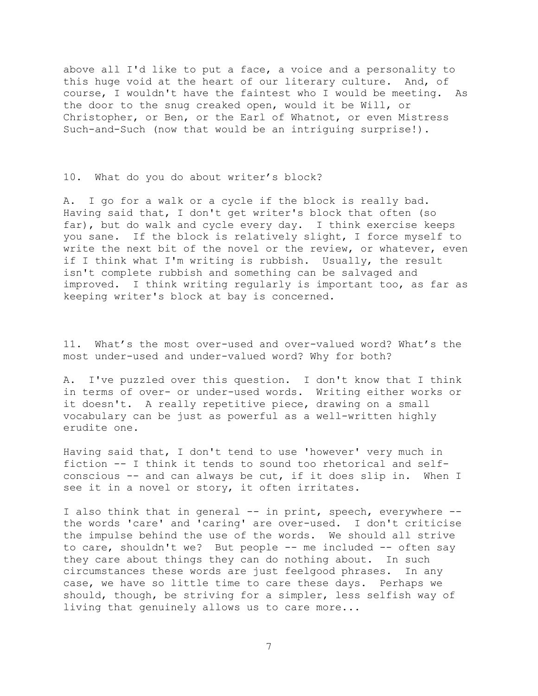above all I'd like to put a face, a voice and a personality to this huge void at the heart of our literary culture. And, of course, I wouldn't have the faintest who I would be meeting. As the door to the snug creaked open, would it be Will, or Christopher, or Ben, or the Earl of Whatnot, or even Mistress Such-and-Such (now that would be an intriguing surprise!).

10. What do you do about writer's block?

A. I go for a walk or a cycle if the block is really bad. Having said that, I don't get writer's block that often (so far), but do walk and cycle every day. I think exercise keeps you sane. If the block is relatively slight, I force myself to write the next bit of the novel or the review, or whatever, even if I think what I'm writing is rubbish. Usually, the result isn't complete rubbish and something can be salvaged and improved. I think writing regularly is important too, as far as keeping writer's block at bay is concerned.

11. What's the most over-used and over-valued word? What's the most under-used and under-valued word? Why for both?

A. I've puzzled over this question. I don't know that I think in terms of over- or under-used words. Writing either works or it doesn't. A really repetitive piece, drawing on a small vocabulary can be just as powerful as a well-written highly erudite one.

Having said that, I don't tend to use 'however' very much in fiction -- I think it tends to sound too rhetorical and selfconscious -- and can always be cut, if it does slip in. When I see it in a novel or story, it often irritates.

I also think that in general -- in print, speech, everywhere - the words 'care' and 'caring' are over-used. I don't criticise the impulse behind the use of the words. We should all strive to care, shouldn't we? But people -- me included -- often say they care about things they can do nothing about. In such circumstances these words are just feelgood phrases. In any case, we have so little time to care these days. Perhaps we should, though, be striving for a simpler, less selfish way of living that genuinely allows us to care more...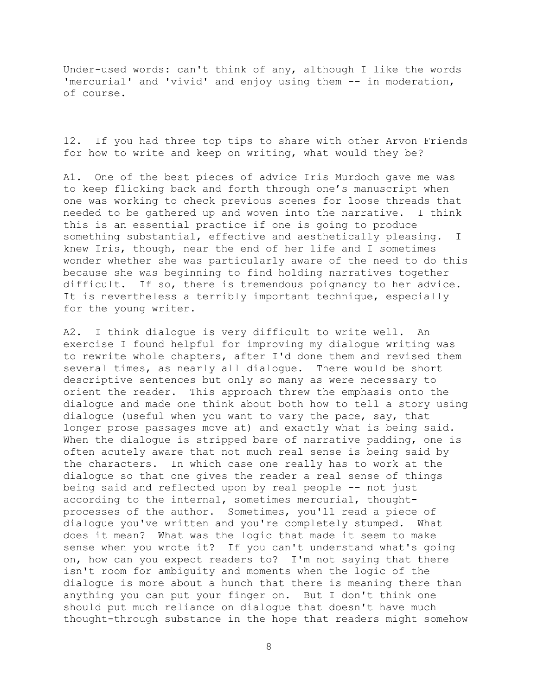Under-used words: can't think of any, although I like the words 'mercurial' and 'vivid' and enjoy using them -- in moderation, of course.

12. If you had three top tips to share with other Arvon Friends for how to write and keep on writing, what would they be?

A1. One of the best pieces of advice Iris Murdoch gave me was to keep flicking back and forth through one's manuscript when one was working to check previous scenes for loose threads that needed to be gathered up and woven into the narrative. I think this is an essential practice if one is going to produce something substantial, effective and aesthetically pleasing. I knew Iris, though, near the end of her life and I sometimes wonder whether she was particularly aware of the need to do this because she was beginning to find holding narratives together difficult. If so, there is tremendous poignancy to her advice. It is nevertheless a terribly important technique, especially for the young writer.

A2. I think dialogue is very difficult to write well. An exercise I found helpful for improving my dialogue writing was to rewrite whole chapters, after I'd done them and revised them several times, as nearly all dialogue. There would be short descriptive sentences but only so many as were necessary to orient the reader. This approach threw the emphasis onto the dialogue and made one think about both how to tell a story using dialogue (useful when you want to vary the pace, say, that longer prose passages move at) and exactly what is being said. When the dialogue is stripped bare of narrative padding, one is often acutely aware that not much real sense is being said by the characters. In which case one really has to work at the dialogue so that one gives the reader a real sense of things being said and reflected upon by real people -- not just according to the internal, sometimes mercurial, thoughtprocesses of the author. Sometimes, you'll read a piece of dialogue you've written and you're completely stumped. What does it mean? What was the logic that made it seem to make sense when you wrote it? If you can't understand what's going on, how can you expect readers to? I'm not saying that there isn't room for ambiguity and moments when the logic of the dialogue is more about a hunch that there is meaning there than anything you can put your finger on. But I don't think one should put much reliance on dialogue that doesn't have much thought-through substance in the hope that readers might somehow

8